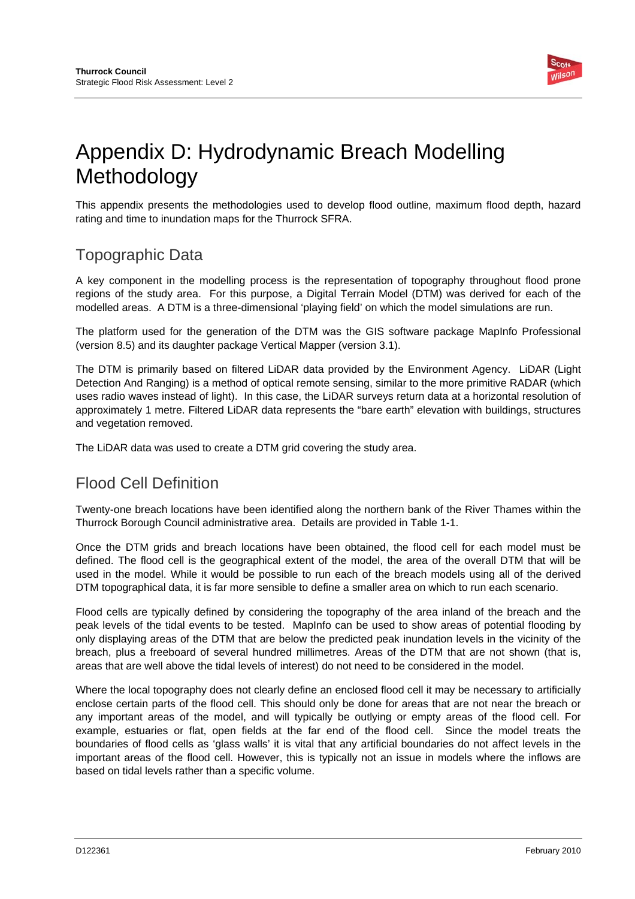

# Appendix D: Hydrodynamic Breach Modelling Methodology

This appendix presents the methodologies used to develop flood outline, maximum flood depth, hazard rating and time to inundation maps for the Thurrock SFRA.

### Topographic Data

A key component in the modelling process is the representation of topography throughout flood prone regions of the study area. For this purpose, a Digital Terrain Model (DTM) was derived for each of the modelled areas. A DTM is a three-dimensional 'playing field' on which the model simulations are run.

The platform used for the generation of the DTM was the GIS software package MapInfo Professional (version 8.5) and its daughter package Vertical Mapper (version 3.1).

The DTM is primarily based on filtered LiDAR data provided by the Environment Agency. LiDAR (Light Detection And Ranging) is a method of optical remote sensing, similar to the more primitive RADAR (which uses radio waves instead of light). In this case, the LiDAR surveys return data at a horizontal resolution of approximately 1 metre. Filtered LiDAR data represents the "bare earth" elevation with buildings, structures and vegetation removed.

The LiDAR data was used to create a DTM grid covering the study area.

## Flood Cell Definition

Twenty-one breach locations have been identified along the northern bank of the River Thames within the Thurrock Borough Council administrative area. Details are provided in Table 1-1.

Once the DTM grids and breach locations have been obtained, the flood cell for each model must be defined. The flood cell is the geographical extent of the model, the area of the overall DTM that will be used in the model. While it would be possible to run each of the breach models using all of the derived DTM topographical data, it is far more sensible to define a smaller area on which to run each scenario.

Flood cells are typically defined by considering the topography of the area inland of the breach and the peak levels of the tidal events to be tested. MapInfo can be used to show areas of potential flooding by only displaying areas of the DTM that are below the predicted peak inundation levels in the vicinity of the breach, plus a freeboard of several hundred millimetres. Areas of the DTM that are not shown (that is, areas that are well above the tidal levels of interest) do not need to be considered in the model.

Where the local topography does not clearly define an enclosed flood cell it may be necessary to artificially enclose certain parts of the flood cell. This should only be done for areas that are not near the breach or any important areas of the model, and will typically be outlying or empty areas of the flood cell. For example, estuaries or flat, open fields at the far end of the flood cell. Since the model treats the boundaries of flood cells as 'glass walls' it is vital that any artificial boundaries do not affect levels in the important areas of the flood cell. However, this is typically not an issue in models where the inflows are based on tidal levels rather than a specific volume.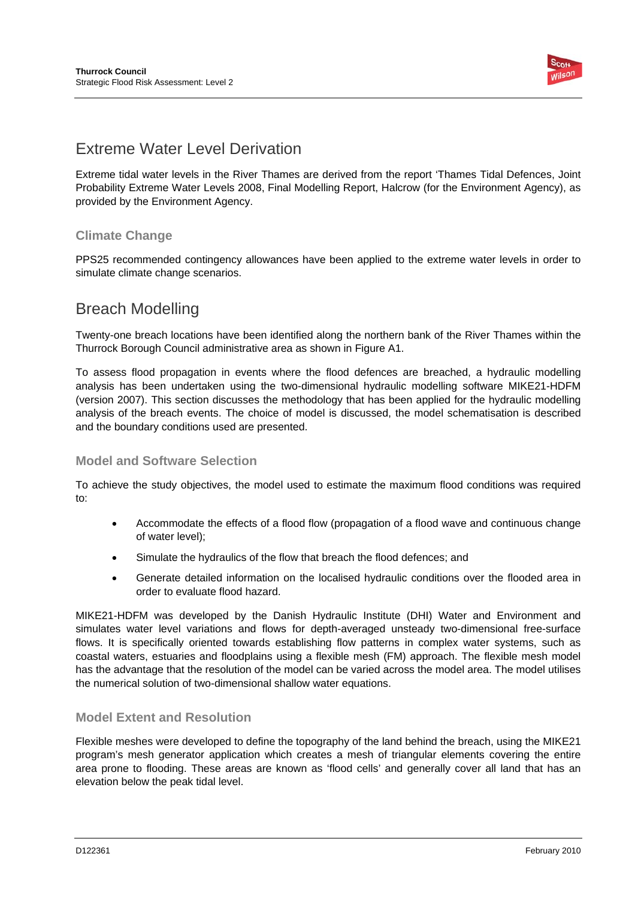

### Extreme Water Level Derivation

Extreme tidal water levels in the River Thames are derived from the report 'Thames Tidal Defences, Joint Probability Extreme Water Levels 2008, Final Modelling Report, Halcrow (for the Environment Agency), as provided by the Environment Agency.

#### **Climate Change**

PPS25 recommended contingency allowances have been applied to the extreme water levels in order to simulate climate change scenarios.

### Breach Modelling

Twenty-one breach locations have been identified along the northern bank of the River Thames within the Thurrock Borough Council administrative area as shown in Figure A1.

To assess flood propagation in events where the flood defences are breached, a hydraulic modelling analysis has been undertaken using the two-dimensional hydraulic modelling software MIKE21-HDFM (version 2007). This section discusses the methodology that has been applied for the hydraulic modelling analysis of the breach events. The choice of model is discussed, the model schematisation is described and the boundary conditions used are presented.

#### **Model and Software Selection**

To achieve the study objectives, the model used to estimate the maximum flood conditions was required to:

- Accommodate the effects of a flood flow (propagation of a flood wave and continuous change of water level);
- Simulate the hydraulics of the flow that breach the flood defences; and
- Generate detailed information on the localised hydraulic conditions over the flooded area in order to evaluate flood hazard.

MIKE21-HDFM was developed by the Danish Hydraulic Institute (DHI) Water and Environment and simulates water level variations and flows for depth-averaged unsteady two-dimensional free-surface flows. It is specifically oriented towards establishing flow patterns in complex water systems, such as coastal waters, estuaries and floodplains using a flexible mesh (FM) approach. The flexible mesh model has the advantage that the resolution of the model can be varied across the model area. The model utilises the numerical solution of two-dimensional shallow water equations.

#### **Model Extent and Resolution**

Flexible meshes were developed to define the topography of the land behind the breach, using the MIKE21 program's mesh generator application which creates a mesh of triangular elements covering the entire area prone to flooding. These areas are known as 'flood cells' and generally cover all land that has an elevation below the peak tidal level.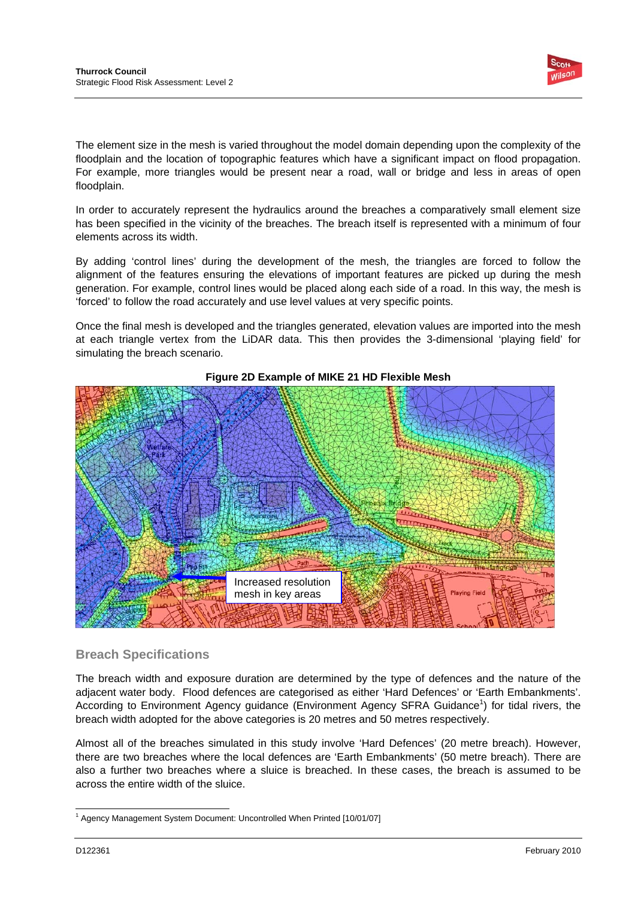

The element size in the mesh is varied throughout the model domain depending upon the complexity of the floodplain and the location of topographic features which have a significant impact on flood propagation. For example, more triangles would be present near a road, wall or bridge and less in areas of open floodplain.

In order to accurately represent the hydraulics around the breaches a comparatively small element size has been specified in the vicinity of the breaches. The breach itself is represented with a minimum of four elements across its width.

By adding 'control lines' during the development of the mesh, the triangles are forced to follow the alignment of the features ensuring the elevations of important features are picked up during the mesh generation. For example, control lines would be placed along each side of a road. In this way, the mesh is 'forced' to follow the road accurately and use level values at very specific points.

Once the final mesh is developed and the triangles generated, elevation values are imported into the mesh at each triangle vertex from the LiDAR data. This then provides the 3-dimensional 'playing field' for simulating the breach scenario.



#### **Figure 2D Example of MIKE 21 HD Flexible Mesh**

#### **Breach Specifications**

The breach width and exposure duration are determined by the type of defences and the nature of the adjacent water body. Flood defences are categorised as either 'Hard Defences' or 'Earth Embankments'. According to Environment Agency guidance (Environment Agency SFRA Guidance<sup>1</sup>) for tidal rivers, the breach width adopted for the above categories is 20 metres and 50 metres respectively.

Almost all of the breaches simulated in this study involve 'Hard Defences' (20 metre breach). However, there are two breaches where the local defences are 'Earth Embankments' (50 metre breach). There are also a further two breaches where a sluice is breached. In these cases, the breach is assumed to be across the entire width of the sluice.

l <sup>1</sup> Agency Management System Document: Uncontrolled When Printed [10/01/07]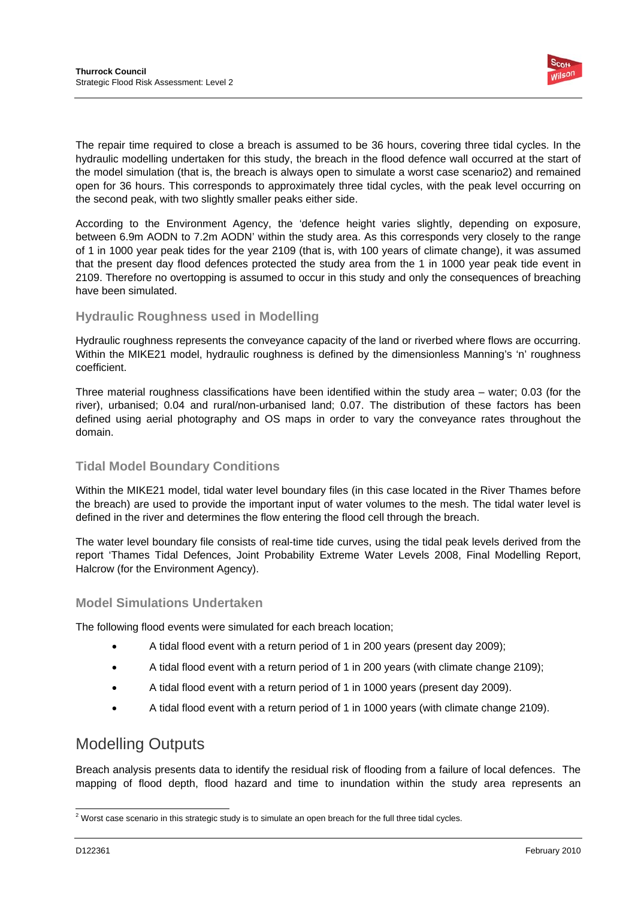

The repair time required to close a breach is assumed to be 36 hours, covering three tidal cycles. In the hydraulic modelling undertaken for this study, the breach in the flood defence wall occurred at the start of the model simulation (that is, the breach is always open to simulate a worst case scenario2) and remained open for 36 hours. This corresponds to approximately three tidal cycles, with the peak level occurring on the second peak, with two slightly smaller peaks either side.

According to the Environment Agency, the 'defence height varies slightly, depending on exposure, between 6.9m AODN to 7.2m AODN' within the study area. As this corresponds very closely to the range of 1 in 1000 year peak tides for the year 2109 (that is, with 100 years of climate change), it was assumed that the present day flood defences protected the study area from the 1 in 1000 year peak tide event in 2109. Therefore no overtopping is assumed to occur in this study and only the consequences of breaching have been simulated.

#### **Hydraulic Roughness used in Modelling**

Hydraulic roughness represents the conveyance capacity of the land or riverbed where flows are occurring. Within the MIKE21 model, hydraulic roughness is defined by the dimensionless Manning's 'n' roughness coefficient.

Three material roughness classifications have been identified within the study area – water; 0.03 (for the river), urbanised; 0.04 and rural/non-urbanised land; 0.07. The distribution of these factors has been defined using aerial photography and OS maps in order to vary the conveyance rates throughout the domain.

#### **Tidal Model Boundary Conditions**

Within the MIKE21 model, tidal water level boundary files (in this case located in the River Thames before the breach) are used to provide the important input of water volumes to the mesh. The tidal water level is defined in the river and determines the flow entering the flood cell through the breach.

The water level boundary file consists of real-time tide curves, using the tidal peak levels derived from the report 'Thames Tidal Defences, Joint Probability Extreme Water Levels 2008, Final Modelling Report, Halcrow (for the Environment Agency).

#### **Model Simulations Undertaken**

The following flood events were simulated for each breach location;

- A tidal flood event with a return period of 1 in 200 years (present day 2009);
- A tidal flood event with a return period of 1 in 200 years (with climate change 2109);
- A tidal flood event with a return period of 1 in 1000 years (present day 2009).
- A tidal flood event with a return period of 1 in 1000 years (with climate change 2109).

### Modelling Outputs

Breach analysis presents data to identify the residual risk of flooding from a failure of local defences. The mapping of flood depth, flood hazard and time to inundation within the study area represents an

l  $<sup>2</sup>$  Worst case scenario in this strategic study is to simulate an open breach for the full three tidal cycles.</sup>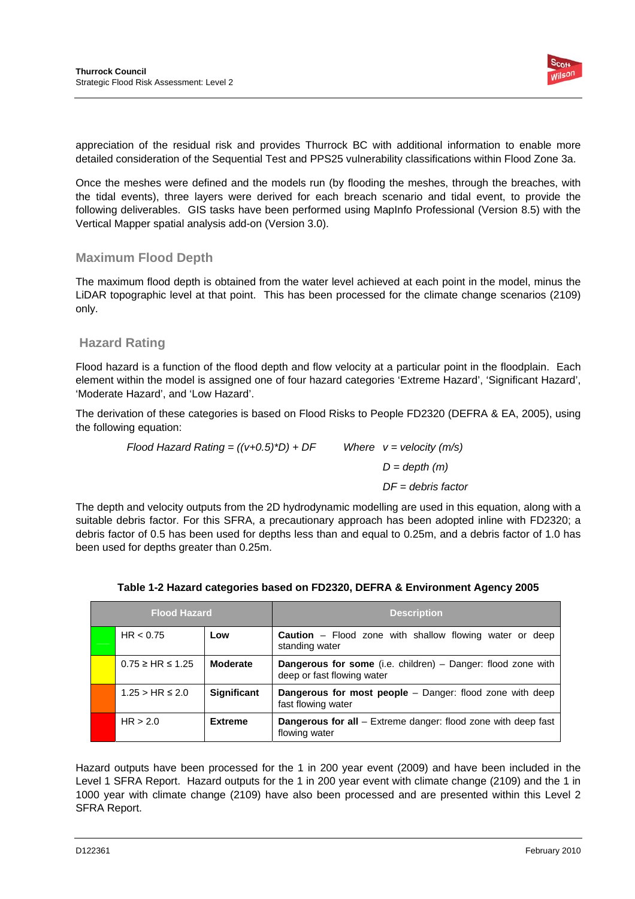

appreciation of the residual risk and provides Thurrock BC with additional information to enable more detailed consideration of the Sequential Test and PPS25 vulnerability classifications within Flood Zone 3a.

Once the meshes were defined and the models run (by flooding the meshes, through the breaches, with the tidal events), three layers were derived for each breach scenario and tidal event, to provide the following deliverables. GIS tasks have been performed using MapInfo Professional (Version 8.5) with the Vertical Mapper spatial analysis add-on (Version 3.0).

#### **Maximum Flood Depth**

The maximum flood depth is obtained from the water level achieved at each point in the model, minus the LiDAR topographic level at that point. This has been processed for the climate change scenarios (2109) only.

#### **Hazard Rating**

Flood hazard is a function of the flood depth and flow velocity at a particular point in the floodplain. Each element within the model is assigned one of four hazard categories 'Extreme Hazard', 'Significant Hazard', 'Moderate Hazard', and 'Low Hazard'.

The derivation of these categories is based on Flood Risks to People FD2320 (DEFRA & EA, 2005), using the following equation:

> *Flood Hazard Rating =*  $((v+0.5)^*D) + DF$  *Where v = velocity (m/s) D = depth (m) DF = debris factor*

The depth and velocity outputs from the 2D hydrodynamic modelling are used in this equation, along with a suitable debris factor. For this SFRA, a precautionary approach has been adopted inline with FD2320; a debris factor of 0.5 has been used for depths less than and equal to 0.25m, and a debris factor of 1.0 has been used for depths greater than 0.25m.

| <b>Flood Hazard</b> |                           |                 | <b>Description</b>                                                                                  |
|---------------------|---------------------------|-----------------|-----------------------------------------------------------------------------------------------------|
|                     | HR < 0.75                 | Low             | <b>Caution</b> – Flood zone with shallow flowing water or deep<br>standing water                    |
|                     | $0.75 \geq H R \leq 1.25$ | <b>Moderate</b> | <b>Dangerous for some</b> (i.e. children) $-$ Danger: flood zone with<br>deep or fast flowing water |
|                     | $1.25 > HR \leq 2.0$      | Significant     | Dangerous for most people - Danger: flood zone with deep<br>fast flowing water                      |
|                     | HR > 2.0                  | <b>Extreme</b>  | <b>Dangerous for all</b> – Extreme danger: flood zone with deep fast<br>flowing water               |

#### **Table 1-2 Hazard categories based on FD2320, DEFRA & Environment Agency 2005**

Hazard outputs have been processed for the 1 in 200 year event (2009) and have been included in the Level 1 SFRA Report. Hazard outputs for the 1 in 200 year event with climate change (2109) and the 1 in 1000 year with climate change (2109) have also been processed and are presented within this Level 2 SFRA Report.